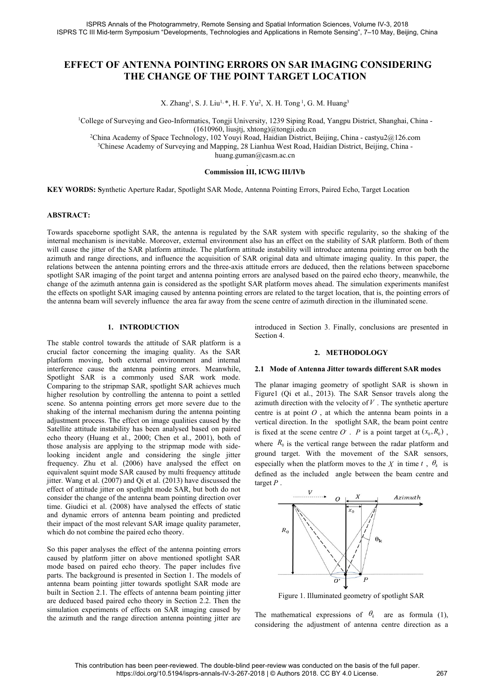# ISPRS Annals of the Photogrammetry, Remote Sensing and Spatial Information Sciences, Volume IV-3, 2018<br>
PRS TC III Mid-term Symposium "Developments, Technologies and Applications in Remote Sensing", 7–10 May, Beijing, Chin Is of the Photogrammetry, Remote Sensing and Spatial Information Sciences, Volume IV-3, 2018<br>Symposium "Developments, Technologies and Applications in Remote Sensing", 7–10 May, Beijing, China<br>**ANTENNA POINTING ERRORS ON S** togrammetry, Remote Sensing and Spatial<br>
"Developments, Technologies and Applica<br> **NA POINTING ERRORS ON**<br> **IANGE OF THE POINT TAF**<br>
X. Zhang<sup>1</sup>, S. J. Liu<sup>1, \*</sup>, H. F. Yu<sup>2</sup>, X. H. 7<br>
Geo-Informatics, Tongji University, 1 try,Remote Sensing and Spatial Information Sciences, Voluments, Technologies and Applications in Remote Sensing",<br> **NTING ERRORS ON SAR IMAGING COF THE POINT TARGET LOCATION**<br>
5. S. J. Liu<sup>1, \*</sup>, H. F. Yu<sup>2</sup>, X. H. Tong<sup>1</sup> d Spatial Information Sciences, Volume IV-3, 20<br>
1 Applications in Remote Sensing", 7–10 May, B<br> **SS ON SAR IMAGING CONSID:**<br> **TARGET LOCATION**<br>
5, X. H. Tong<sup>1</sup>, G. M. Huang<sup>3</sup><br>
5, 1239 Siping Road, Yangpu District, Shang nation Sciences, Volume IV-3, 2018<br>
n Remote Sensing", 7–10 May, Beijing, China<br> **R IMAGING CONSIDERING<br>
T LOCATION**<br>
, G. M. Huang<sup>3</sup><br>
g Road, Yangpu District, Shanghai, China -<br>
u.cn<br>
ict, Beijing, China - castyu2@126.co 1SPRS Annals of the Photogrammetry, Remote Sensing and Spatial Information Sciences, Volume IV-3, 2018<br>
1TC III Mid-term Symposium "Developments, Technologies and Applications in Remote Sensing", 7–10 May, Beijing, China<br> V. Remote Sensing and Spatial Information Sciences, Volume IV-<br>
Interts, Technologies and Applications in Remote Sensing", 7–10 Mi<br> **NTING ERRORS ON SAR IMAGING CONS<br>
OF THE POINT TARGET LOCATION**<br>
S. J. Liu<sup>1, \*</sup>, H. F. Y 2China Academy of Space Technology, 102 Youyi Road, Mangles China Academy of Surveying and Geo-Informatics, Tongi University, 1239 Siping, China THE CHANGE OF THE POINT TARGET LOCATION<br>
2China Academy of Space Technology, 3Chinese Academy of Surveying and Mapping, 28 Lianless West Road, Haidian District, Beijing, China -<br>3Chinese Academy of Surveying and Mapping, 28 Liankung, 23 Sipping Road, Yangpu District, Shanghai, China -<br>3Chinese Acad **THE POINT TARGET LOCATION**<br> **Commission III, E. Yu<sup>1, #</sup>, H. F. Yu<sup>2</sup>, X. H. Tong<sup>1</sup>, G. M. Huang<sup>3</sup><br>
I. Liu<sup>1, #</sup>, H. F. Yu<sup>2</sup>, X. H. Tong<sup>1</sup>, G. M. Huang<sup>3</sup><br>
ss, Tongji University, 1239 Siping Road, Yangpu District, Sha**

huang.guman@casm.ac.cn **KEY WORDS: Synthetic Aperture Radar, Spotlight SAR Mode, Antenna Pointing Errors, Paired Echo, Target Location<br>
ABSTRACT:**<br>
ABSTRACT:<br>
ABSTRACT:<br>
ABSTRACT:<br>
ABSTRACT:<br>
ABSTRACT:

### **ABSTRACT:**

Towards spaceborne spotlight SAR, the antenna is regulated by the SAR system with specific regularity, Shangani, China -<br>
<sup>2</sup>China Academy of Space Technology, 102 Youyi Road, Haidian District, Beijing, China - castyu2@12 <sup>2</sup>China Academy of Space Technology, 102 Youyi Road, Haidian District, Beijing, China - eastyu2@126.com<br><sup>3</sup>Chinese Academy of Surveying and Mapping, 28 Lianhua West Road, Haidian District, Beijing, China -<br>huang-guman@cas Comma Academy of Space 1 encomology, 102 You You Koad, Haidian District, Berjing, China -<br>
<sup>3</sup>Chinese Academy of Surveying and Mapping, 28 Lianhua West Road, Haidian District, Beijing, China -<br> **Commission III, ICWG III/IV** Chinese Academy of Surveying and Mappig, 26 Liamina weat Koad, Haldiah District, Beijing, China<br> **ABSTRACT:**<br> **Commission III, ICWG III/IVb**<br> **ABSTRACT:**<br>
Towards spectome spotlight SAR, the antenna is regulated by the SAR relations between the antenna pointing errors and the three-axis attitude relation for a method in the illuminated scene.<br>Towards spaceborne spotlight SAR, the antenna is regulated by the SAR system with specific regularit **EXEY WORDS:** Synthetic Aperture Radar, Spotlight SAR Mode, Antenna Pointing Errors, Paired Echo, Target Location<br> **ABSTRACT:**<br>
Towards spaceborne spotlight SAR, the antenna is regulated by the SAR system with specific reg **COMMISSION 111, IC WG ILITY B**<br>**COMMISSION 111, IC WG ILITY B**<br>**CHANGER CONTSTANCT:**<br>Towards spaceborne spotlight SAR, the antenna is regulated by the SAR system with specific regularity, so the shaking of the<br>internal me **KEY WORDS:** Synthetic Aperture Radar, Spotlight SAR Mode, Antenna Pointing Errors, Paired Echo, Target Location<br> **ABSTRACT:**<br>
Towards spaceborne spotlight SAR, the antenna is regulated by the SAR system with specific regu **EXEY WORDS:** Synmetic Aperture Radar, Spotiignt SAR Mode, Antenna Pointing Errors, Paired Eeno, 1 arget Location<br> **ABSTRACT:**<br>
Towards spaceborne spotlight SAR, the antenna is regulated by the SAR system with specific reg Equality SAR, the antenna is regulated by the SAR is inevitable. Moreover, external environment also has an of the SAR platform attitude. The platform attitude instation of saR origina directions, and influence the acquisi Towards spaceborne spotlight SAR, the antenna is regulated by the SAR ystem with specific reductions is invertible. Moreover, external environment also has an effect on the stablity will cause the jutter of the SAR platfor internal mechanism is inevitable. Moreover, external environment also has an effect on the stabi<br>will cause the jitter of the SAR platform attitude The platform attitude instability will introduce<br>relations between the ant will cause the jitter of the SAR platform attitude. The platform attitude instability will introduce<br>azimuth and range directions, and influence the acquisition of SAR original data and ultima<br>relations between the antenna azimuth and range directions, and influence the acquisition of SAR original data and ull<br>relations between the antenna pointing errors and the three-axis attitude errors are deduce<br>change of the azimuth antenna gain is con ne SAR system with specific regularity, so the shaking of the so has an effect on the stability of SAR platform. Both of them ude instability will introduce antenna pointing error on both the R original data and ultimate i ne SAR system with specific regularity, so the SAR system with specific regularity, so the stability of SAR platfic ude instability will introduce antenna pointing a original data and ultimate imaging quality. It it is err Introduce antenna pointing error on both the ultimate imaging quality. In this paper, the uced, then the relations between spaceborned on the paired echo theory, meanwhile, the ahead. The simulation experiments manifest ta Example and unimate imaging quality. In this paper, the<br> **2.1 Mode erros are deduced**, then the relations between spaceborne<br>
For are analysed based on the paired coho heory, meanwhile, the<br>
AR platform moves ahead. The si

relations between the antenna pointing errors and the three-axis attitude errors are deduced, the spotlight SAR imaging of the point target and antenna pointing errors are analysed based on the effects on spotlight SAR ima spotlight SAR imaging of the point target and antenna pointing errors are analysed based on the<br>change of the azimuth antenna gain is considered as the spotlight SAR platform moves ahead. The effects on spotlight SAR imagi change of the azimuth antenna gain is considered as the spotlight SAR platform moves ahead.<br>
the effects on spotlight SAR imaging caused by antenna pointing errors are related to the target l<br>
the antenna beam will severe the effects on spotlight SAR imaging caused by antenna pointing errors are related to the target location the antenna beam will severely influence the area far away from the scene centre of azimuth direction 3. Fina<br>
The the antenna beam will severely influence the area far away from the scene centre of azimuth di<br>
I. INTRODUCTION introduced in Section 3.<br>
Section 4.<br>
crucial factor concerning the imaging quality. As the SAR<br>
platform mov **1. INTRODUCTION** introduced in Section 3. Fina<br>
rurcial factor concerning the imaging quality. As the SAR<br>
platform moving, both external environment and internal<br>
interference cause the antenna pointing errors. Meanwhil **1. INTRODUCTION** introduced in Section 3. F<br>
Section 4. Section 4. Section 4. Section 4. Section 4. Section 4. Section 4. Section 4. The stable concerning the imaging quality. As the SAR 2. **ME** platform moving, both ext 1. INTRODUCTION introduced in Section 3. Final<br>
Section 4.<br>
Section 4.<br>
Platform is a<br>
crucial factor concerning the imaging quality. As the SAR<br>
interference cause the anterna environment and internal<br>
interference cause Thestable control towards the attitude of SAR platform is a<br>
crucial factor concerning the imaging quality. As the SAR action 4.<br>
platform moving, both external environment and internal<br>
interference cause the antenna po Ine state control towards the attitude or SAR patatomi is a<br>crucial factor concerning the imaging quality. As the SAR pattern moving, both external environment and internal<br>interference cause the antenna pointing errors. crucial tactor concerning the imaging quality. As the SAR can alternation provided interference cause the antenna pointing errors. Meanwhile, **2.1 Mode of Antenna Jitter t** Spotlight SAR is a commonly used SAR work mode. platiorm moving, both external environment and internal<br>interference cause the antenna pointing errors. Meanwhile,<br>Spotlight SAR is a commonly used SAR work mode.<br>Comparing to the stripmap SAR, spotlight SAR achieves much meriever cause the antenna ponting errors. Meanwhile,<br>Spotlight SAR is a commonly used SAR work mode.<br>Comparing to the stripmap SAR, spotlight SAR achieves much<br>the planar imaging geometry<br>higher resolution by controlling Solution SAR is a commonly used SAR work mode.<br>Comparing to the stripmap SAR, spotlight SAR achieves much The planar imaging geometry<br>higher resolution by controlling the antenna to point a settled Figure1 (Qi et al., 201 Comparing to the stripmap SAR, spottigation are the relation in the plane imaging geometric of the internal operator. So antenna beam pointing the antenna beam a specified in section with the vest shaking of the internal ment resolution by controlling the antenna to point a settica are point and point and point and point and point and point and the shaking of the internal mechanism during the antenna pointing centre is at point  $O$ , at wi scene. So antenna pointing errors get more severe due to the antamin direction win us<br>hakking of the internal mechanism during the antenna pointing deater and and<br>installeration. In the antalysis are applying to the strip shaking of the internal mechanism during the antenna pointing<br>adjustment process. The effect on image qualities caused by the<br>Satellite attitude instability has been analysed based on paired<br>echo theory (Huang et al., 200 adjustment process. The effect on image qualities caused by the vertical<br>Satellite attitude instability has been analysed based on paired<br>cho theory (Huang et al., 2000; Chen et al., 2001), both of<br>those analysis are apply echo theory (Huang et al., 2000; Chen et al., 2001), both of<br>those analysis are applying to the stripman mode with side<br>looking incident angle and considering the single jitter ground target. With the<br>frequency. Zhu et al those analysis are applying to the strip map mode with side<br>
booking incident angle and considering the single jitter ground target. With the frequency. Zhu et al. (2006) have analysed the effect on especially when the pl nooking modent angle and considering the single jutter<br>frequency. Zhu et al. (2006) have analysed the effect on especially when the platform<br>equivalent squint mode SAR caused by multi frequency attitude<br>ifter. Wang et al. prequency. Zhu et al. (2006) have analysed the effect on<br>equivalent squired in equivalent squired to the particle defined as the included angle<br>if either. Wang et al. (2007) and Qi et al. (2013) have discussed the<br>effect

equivalent square towards and by multi requirency attitude<br>inter. Wang et al. (2007) and Qi et al. (2013) have discussed the target *P*.<br>effect of attitude jitter on spotlight mode SAR, but both do not<br>consider the change Their. Wang et al. (2007) and Qr et al. (2013) have discusses the direct of active consider the change of the antenna beam pointing direction over<br>
consider the change of the antenna beam pointing direction over<br>
time. Gi entect of attitute jutter on spoting mode SAR, but both do not<br>consider the change of the antenna beam pointing direction over<br>time. Giudici et al. (2008) have analysed the effects of static<br>and dynamic errors of antenna consider the change of the antenna beam pointing director over<br>time. Giudici et al. (2008) have analysed the effects of static<br>and dynamic errors of antenna beam pointing and predicted<br>their impact of the most relevant SA the culture at 1. (2008) have analysed the effects of statute and dynamic errors of antenna beam pointing and predicted<br>their impact of the most relevant SAR image quality parameter,<br>which do not combine the paired echo t

The planar imaging expection of the paired echo theory, meanwhile, the AR platform moves ahead. The simulation experiments manifest<br>ors are related to the target location, that is, the pointing errors of<br>scene centre of a AR platform moves ahead. The simulation experiments manifest<br>ors are related to the target location, that is, the pointing errors of<br>scene centre of azimuth direction in the illuminated scene.<br>introduced in Section 3. Fin or are related to the target location, that is, the pointing errors of<br>scene centre of azimuth direction in the illuminated scene.<br>introduced in Section 3. Finally, conclusions are presented in<br>Section 4.<br>2. **METHODOLOGY** centre of azimuth direction in the illuminated scene.<br>
introduced in Section 3. Finally, conclusions are presented in<br>
Section 4.<br>
2. **METHODOLOGY**<br>
2.1 **Mode of Antenna Jitter towards different SAR modes**<br>
The planar ima introduced in Section 3. Finally, conclusions are presented in Section 4.<br>
2. **METHODOLOGY**<br>
2.1 **Mode of Antenna Jitter towards different SAR modes**<br>
The planar imaging geometry of spotlight SAR is shown in Figure1 (Qi e introduced in Section 3. Finally, conclusions are presented in<br>Section 4.<br>2. **METHODOLOGY**<br>2.1 **Mode of Antenna Jitter towards different SAR modes**<br>The planar imaging geometry of spotlight SAR is shown in<br>Figure1 (Qi et a lot ensuationly will introduce antential pointing error on ooin the R original data and ultimate imaging quality. In this paper, the titude errors are deduced, then the paired cohe theory, meanwhile, the SNR platform move 2. **METHODOLOGY**<br>2.1 Mode of Antenna Jitter towards different SAR modes<br>The planar imaging geometry of spotlight SAR is shown in<br>Figure1 (Qi et al., 2013). The SAR Sensor travels along the<br>azimuth direction with the veloc **2. METHODOLOGY**<br> **2.1 Mode of Antenna Jitter towards different SAR modes**<br>
The planar imaging geometry of spotlight SAR is shown in<br>
Figure1 (Qi et al., 2013). The SAR Sensor travels along the<br>
azimuth direction with the especially when the platform moves to the X in time t,  $\theta_k$  is 2.1 Mode of Antenna Jitter towards different SAR modes<br>
The planar imaging geometry of spotlight SAR is shown in<br>
Figure1 (Qi et al., 2013). The SAR Sensor travels along the<br>
azimuth direction with the velocity of V. The target *P* .

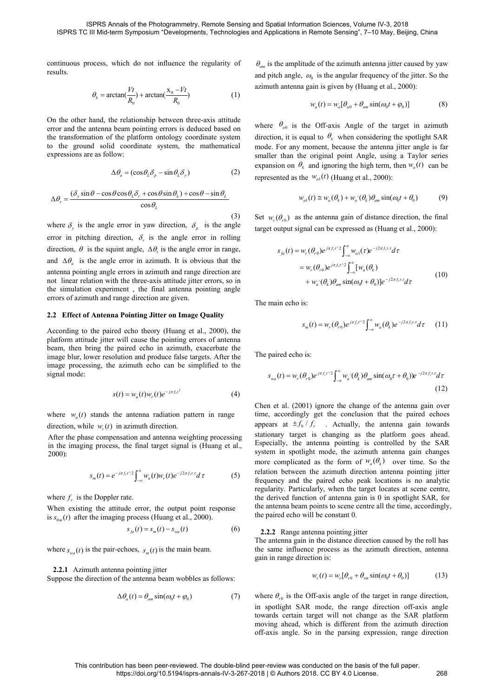results.

$$
\theta_k = \arctan(\frac{Vt}{R_0}) + \arctan(\frac{x_0 - Vt}{R_0})
$$
 (1)

**EXAMPLE ART ANDER ANDER AND SIGNATE CONSUMISED THE CONSUMISED THE MOTEL THEORYMON CONSULTER SUPPOSE INTERENT OR THE CONSULTER THEORYMON OF THE ART AND THE SERVICE THEORYMON OF THE ART AND THE SERVICE THEORYMON MANUST ART** S Annals of the Photogrammetry, Remote Sensing and Spatial<br>
did-term Symposium "Developments, Technologies and Applicat<br>
ss, which do not influence the regularity of  $\theta_{am}$  is the and pitch a<br>
=  $\arctan(\frac{Vt}{R_0}) + \arctan(\frac{x_0$ **ISPRS Annals of the Photogrammetry, Remote Sensing and Spatial Information Scie<br>
ISPRS TC III Mid-term Symposium "Developments, Technologies and Applications in Remote<br>
continuous process, which do not influence the regu ISPRS Annals of the Photogrammetry, Remote Sensing and Spatial Information Sciences<br>
ISPRS TC III Mid-term Symposium "Developments, Technologies and Applications in Remote Sens<br>
continuous process, which do not influence ISPRS TC III Mid-term Symposium** "Developments, Technologies and Applications in Remote Sensitive<br>continuous process, which do not influence the regularity of  $\theta_{am}$  is the amplitude of the azim<br>results.<br>
and pitch angl to the following solution of the distribution of the distribution of the mathematical continuous process, which do not influence the regularity of  $\theta_{am}$  is the amplitude and pitch angle,  $\omega_0$  azimuth antenna gain erro continuous process, which do not influence the regular<br>results.<br>  $\theta_k = \arctan(\frac{Vt}{R_0}) + \arctan(\frac{x_0 - Vt}{R_0})$ <br>
On the other hand, the relationship between three-axis<br>
error and the antenna beam pointing errors is deduced be<br>
th  $\theta_k = \arctan(\frac{R}{R_0}) + \arctan(\frac{R_0}{R_0})$  (1)<br>
her hand, the relationship between three-axis attitude<br>
the antenna beam pointing errors is deduced based on<br>
ormation of the platform ontology coordinate system<br>
sing originally t ISPRS Annals of the Photogrammetry, Remote Sensing and Spatial Information Sciences, Vol<br>
3 TC III Mid-term Symposium "Developments, Technologies and Applications in Remote Sensing",<br>
us process, which do not influence th ISPRS Annals of the Photogrammetry, Remote Sensing and Spatial Information Sciences<br>
ISPRS TC III Mid-term Symposium "Developments, Technologies and Applications in Remote Sens<br>
continuous process, which do not influence

$$
\Delta \theta_a = (\cos \theta_L \delta_p - \sin \theta_L \delta_y) \tag{2}
$$

$$
\Delta\theta_r = \frac{(\delta_y \sin\theta - \cos\theta \cos\theta_L \delta_r + \cos\theta \sin\theta_L) \div \cos\theta - \sin\theta_L}{\cos\theta_L}
$$

On the other hand, the relationship between three-axis attitude<br>
error and the antenna beam pointing errors is deduced based on<br>
the transformation of the platform ontology coordinate system<br>
to the ground solid coordinat error and the antenna beam pointing errors is deduced based on<br>
the transformation of the platform ontology coordinate system<br>
to the ground solid coordinate system, the mathematical<br>
expressions are as follow:<br>
smaller t the transformation of the platform ontology coordinate system<br>
to the ground solid coordinate system, the mathematical mode.<br>
expressions are as follow:<br>  $\Delta \theta_a = (\cos \theta_L \delta_p - \sin \theta_L \delta_y)$  (2) expansis<br>  $\Delta \theta_r = \frac{(\delta_y \sin \theta - \cos \theta \cos \theta$ The mathematical interction, it is equal to  $v_k$ <br>
simulate system, the mathematical mode. For any moment, be<br>
smaller than the original intervalsed as the  $w_{a1}(t)$  (H<br>  $y_{\sin}(\theta_L) \div \cos \theta - \sin \theta_L$ <br>  $y_{a1}(t) \equiv w_a(\theta_L)$ <br>  $\Rightarrow w_{a1}($ and  $\Delta\theta_a$  is the angle error in azimuth. It is obvious that the s are as follow:<br>
sing  $\theta - \cos\theta \cos\theta_L \delta_r + \cos\theta \sin\theta_L + \cos\theta - \sin\theta_L$ <br>
sing  $\theta - \cos\theta \cos\theta_L \delta_r + \cos\theta \sin\theta_L + \cos\theta - \sin\theta_L$ <br>
sing  $\theta - \cos\theta \cos\theta_L \delta_r + \cos\theta \sin\theta_L + \cos\theta - \sin\theta_L$ <br>
sing  $\theta - \cos\theta \cos\theta_L \delta_r + \cos\theta \sin\theta_L + \cos\theta - \sin\theta_L$ <br>
sing the angle error in  $\Delta \theta_{\alpha} = (\cos \theta_{L} \delta_{p} - \sin \theta_{L} \delta_{y})$  expansion on  $\theta_{k}$  and ignoring<br>  $\Delta \theta_{r} = \frac{(\delta_{y} \sin \theta - \cos \theta \cos \theta_{L} \delta_{r} + \cos \theta \sin \theta_{L}) + \cos \theta - \sin \theta_{L}}{\cos \theta_{L}}$ <br>
where  $\delta_{y}$  is the angle error in yaw direction,  $\delta_{p}$  is the angle<br>
err  $\Delta \theta_r = \frac{(\delta_y \sin \theta - \cos \theta \cos \theta_t \delta_r + \cos \theta \sin \theta_t) + \cos \theta - \sin \theta_t}{\cos \theta_t}$  represented as the  $w_a(t)$  (Huang<br>
where  $\delta_y$  is the angle error in yaw direction,  $\delta_p$  is the angle<br>
error in pitching direction,  $\delta_r$  is the angle error in the simulation experiment of a since  $w_{a1}(t) \approx w_a(\theta_k)$ <br>  $\cos \theta_L$ <br>  $\cos \theta_L$ <br>  $\cos \theta_L$ <br>  $\cos \theta_L$ <br>  $\cos \theta_L$ <br>  $w_{a1}(t) \approx w_a(\theta_k)$ <br>
where  $\delta_y$  is the angle error in yaw direction,  $\delta_p$  is the angle tranget output signal can be expe  $\Delta\theta_r = \frac{(\delta_y \sin \theta - \cos \theta \cos \theta_t \delta_r + \cos \theta \sin \theta_t) + \cos \theta - \sin \theta_t}{\cos \theta_t}$ <br>
where  $\delta_y$  is the angle error in yaw direction,  $\delta_p$  is the angle<br>
error in pitching direction,  $\delta_r$  is the angle error in rolling<br>
direction,  $\theta$  is the s cos  $\theta_L$ <br>
where  $\delta_y$  is the angle error in yaw direction,  $\delta_p$  is the angle<br>
error in pitching direction,  $\delta_z$  is the angle error in rolling<br>
direction,  $\theta$  is the squint angle,  $\Delta \theta_t$  is the angle error in range,<br> where  $\delta_y$  is the angle error in yaw direction,  $\delta_p$  is the angle<br>error in pitching direction,  $\delta_t$  is the angle error in rolling<br>direction,  $\theta$  is the squint angle,  $\Delta \theta_i$  is the angle error in range,<br>and  $\Delta \theta_u$  is three  $\psi_y$  is the angle error in  $\beta$  in an antivorum,  $\psi_p$  is the angle error in rolling<br>direction,  $\theta$  is the squint angle,  $\Delta \theta_i$  is the angle error in range,<br>and  $\Delta \theta_a$  is the squint angle,  $\Delta \theta_i$  is the angle e error in pitching direction,  $\delta_r$  is the angle error in rolling<br>direction,  $\theta$  is the squint angle,  $\Delta \theta_r$  is the angle error in range,<br>and  $\Delta \theta_a$  is the squint angle,  $\Delta \theta_r$  is the angle error in azimuth. It is obvi direction,  $\theta$  is the squint angle,  $\Delta \theta_i$  is the angle error in range,<br>
and  $\Delta \theta_a$  is the angle error in azimuth. It is obvious that the<br>
antenna pointing angle errors in azimuth and range direction are<br>
not linear re where  $\delta_y$  is the angle error in yaw direction,  $\delta_p$  is the angle error in pliching direction,  $\delta_z$  is the angle error in rolling<br>error in pliching direction,  $\delta_z$  is the angle error in rolling<br>direction,  $\theta$  is the **j**  $\det w_r(\theta_{r0})$  as the antenna gate of  $\delta_p$  is the angle error in yaw direction,  $\delta_p$  is the angle error in rolling<br>  $s_{fa}(t) = w_r(\theta_{r0})e^{j\pi f_r t'^2}$   $\int$  eerror in azimuth. It is obvious that the<br>
eerror in azimuth and ra error in pitching direction, *δ*, is the angle error in rolling<br>direction, *θ* is the squint angle,  $Δθ$ , is the angle error in range,<br>and  $Δθ_a$  is the angle error in azimuth. It is obvious that the<br>antenna pointing angl direction,  $\theta$  is the squint angle,  $\Delta \theta$ , is the angle error in range,<br>
and  $\Delta \theta_a$  is the angle errors in azimuth. It is obvious that the<br>
antenna pointing angle errors in azimuth and range direction are<br>
not linear r

and  $\Delta \theta_a$  is the angle error in azimuth. It is obvious that the<br>antenna pointing angle errors in azimuth and range direction are<br>antenna pointing angle errors in azimuth and range direction are<br>the simulation experiment stands the antenna radiation pattern in range a **Pointing Jitter on Image Quality**<br>
ed echo theory (Huang et al., 2000), the<br>
will cause the pointing errors of antenna<br>
paired echo in azimuth, exacerbate the<br>
lution and produce false targets. After the<br>
azimuth echo According to the paired echo theory (Huang et al., 2000), the<br>platform attitude jitter will cause the pointing errors of antenna<br>beam, then bring the paired echo in azimuth, exacerbate the<br>image blur, lower resolution and From at titude jitter will cause the pointing errors of antenna<br>
beam, then bring the paired echo in azimuth, exacerbate the<br>
linear pointing errors of antenna<br>
the paired echo is:<br>
linear processing, the azimuth echo can platform attitude jitter will cause the pointing errors of antenna<br>beam, then bring the paired echo in azimuth, exacerbate the<br>image blur, lower resolution and produce false targets. After the<br>image processing, the azimut aftorm attitude jitter will cause the pointing errors of antenna<br>
ange blur, lower resolution and produce false targets. After the<br>
ange blur, lower resolution and produce false targets. After the<br>
gage processing, the az

$$
s(t) = w_a(t)w_r(t)e^{-j\pi f_r t^2}
$$
 (4)

 $s(t) = w_a(t)w_r(t)e^{-j\pi f_r t^2}$  (4<br>where  $w_a(t)$  stands the antenna radiation pattern in range<br>direction, while  $w_r(t)$  in azimuth direction.<br>After the phase compensation and antenna weighting processir<br>in the imaging process, the

$$
s_m(t) = e^{-j\pi f_r t^{2}} \int_{-\infty}^{\infty} w_a(t) w_r(t) e^{-j2\pi f_r t \cdot \tau} d\tau
$$
 (5)

**2.2.1** Azimuth antenna pointing jitter<br>  $\Delta \theta_a(t) = \theta_{am} \sin(\omega_0 t + \phi_0)$  (7) where  $\theta_{am}$  and  $\theta_{am}$  and  $\theta_{am}$  is the Doppler rate.<br>
Then existing the attitude error, the output point response the and  $s_{0m}(t)$  after the

$$
s_{fa}(t) = s_m(t) - s_{wa}(t)
$$
 (6)

$$
\Delta \theta_a(t) = \theta_{am} \sin(\omega_0 t + \varphi_0)
$$
 (7)

*am* Spatial Information Sciences, Volume IV-3, 2018<br>*Applications in Remote Sensing"*, 7–10 May, Beijing, China<br> $\theta_{am}$  is the amplitude of the azimuth antenna jitter caused by yaw<br>and pitch angle,  $\omega_0$  is the angular and Spatial Information Sciences, Volume IV-3, 20<br>
and Applications in Remote Sensing", 7–10 May, B<br>  $\theta_{am}$  is the amplitude of the azimuth antenna jitter<br>
and pitch angle,  $\omega_0$  is the angular frequency of<br>
azimuth ant is the angle and the N-3, 2018<br>is the angular frequency of the jitter. So the angular frequency of the jitter. So the<br>is the angular frequency of the jitter. So the<br>is given by (Huang et al., 2000):<br> $(t) = w_a [\theta_{a0} + \theta_{am} \sin(\omega$ 

$$
w_a(t) = w_a[\theta_{a0} + \theta_{am}\sin(\omega_0 t + \varphi_0)]
$$
 (8)

Annals of the Photogrammetry, Remote Sensing and Spatial Information Sciences, Volumerm Symposium "Developments, Technologies and Applications in Remote Sensing", 7-<br>
which do not influence the regularity of  $\theta_{am}$  is th ISPRS Annals of the Photogrammetry, Remote Sensing and Spatial Information Sciences. Volume IV-3, 2<br>
Si TC III Mid-lerm Symposium "Developments, Technologies and Applications in Remote Sensing", 7–10 May,<br>
ous process, wh and Spatial Information Sciences, Volume IV-3, 2018<br>
and Applications in Remote Sensing", 7–10 May, Beijing, China<br>  $\theta_{am}$  is the amplitude of the azimuth antenna jitter caused by yaw<br>
and pitch angle,  $\omega_0$  is the angu and Spatial Information Sciences, Volume IV-3, 2018<br>
and Applications in Remote Sensing", 7–10 May, Beijing, China<br>  $\theta_{am}$  is the amplitude of the azimuth antenna jitter caused by yaw<br>
and pitch angle,  $\omega_0$  is the angu  $\theta_{am}$  is the amplitude of the azimuth antenna jitter caused by yaw<br>and Applications in Remote Sensing", 7–10 May, Beijing, China<br> $\theta_{am}$  is the amplitude of the azimuth antenna jitter caused by yaw<br>and pitch angle,  $\omega_$  $\theta_{am}$  is the amplitude of the azimuth antenna jitter caused by yaw<br>and pitch angle,  $\omega_0$  is the angular frequency of the jitter. So the<br>azimuth antenna gain is given by (Huang et al., 2000):<br> $w_a(t) = w_a[\theta_{a0} + \theta_{am} \sin(\omega_0$  $\theta_{am}$  is the amplitude of the azimuth antenna jitter caused by yaw<br>and pitch angle,  $\omega_0$  is the angular frequency of the jitter. So the<br>azimuth antenna gain is given by (Huang et al., 2000):<br> $w_a(t) = w_a[\theta_{a0} + \theta_{am} \sin(\omega_0$ and Spatial Information Sciences, Volume IV-3, 2018<br>
and Applications in Remote Sensing", 7–10 May, Beijing, China<br>  $\theta_{am}$  is the amplitude of the azimuth antenna jitter caused by yaw<br>
and pitch angle,  $\omega_0$  is the angu and Spatial Information Sciences, Volume IV-3, 2018<br>
nd Applications in Remote Sensing", 7–10 May, Beijing, China<br>  $\theta_{am}$  is the amplitude of the azimuth antenna jitter caused by yaw<br>
and pitch angle,  $\omega_0$  is the angul framation Sciences, Volume IV-3, 2018<br>
in Remote Sensing", 7–10 May, Beijing, China<br>
litude of the azimuth antenna jitter caused by yaw<br>
e,  $\omega_0$  is the angular frequency of the jitter. So the<br>
na gain is given by (Huang  $\theta_{am}$  is the amplitude of the azimuth antenna jitter caused by yaw<br>and pitch angle,  $\omega_0$  is the angular frequency of the jitter. So the<br>azimuth antenna gain is given by (Huang et al., 2000):<br> $w_a(t) = w_a[\theta_{a0} + \theta_{am} \sin(\omega_0$ where  $\theta_{a0}$  is the Off-axis Angle of the target in azimuth<br>direction, it is equal to  $\theta_k$  when considering the spotlight SAR<br>mode. For any moment, because the antenna jitter angle is far<br>smaller than the original poin angle,  $\omega_0$  is the angular frequency of the jitter. So the<br>
atenna gain is given by (Huang et al., 2000):<br>  $w_a(t) = w_a[\theta_{a0} + \theta_{am} \sin(\omega_0 t + \varphi_0)]$  (8)<br>  $\omega$  is the Off-axis Angle of the target in azimuth<br>
it is equal to  $\theta$ in is given by (Huang et al., 2000):<br>  $v_a(t) = w_a[\theta_{a0} + \theta_{am} \sin(\omega_0 t + \varphi_0)]$  (8)<br>
Off-axis Angle of the target in azimuth<br>
1 to  $\theta_k$  when considering the spotlight SAR<br>
ment, because the antenna jitter angle is far<br>
ment, b t) =  $w_a [\theta_{a0} + \theta_{am} \sin(\omega_0 t + \varphi_0)]$  (8)<br>
ff-axis Angle of the target in azimuth<br>
o  $\theta_k$  when considering the spotlight SAR<br>
ent, because the antenna jitter angle is far<br>
ginal point Angle, using a Taylor series<br>
ignoring *j*, because the antenna jitter angle is far<br>
ral point Angle, using a Taylor series<br>
gioring the high term, then  $w_a(t)$  can be<br>
(Huang et al., 2000):<br>  $v_a(\theta_k) + w_a'(\theta_k)\theta_{am} \sin(\omega_0 t + \theta_0)$  (9)<br>
ranna gain of distance directi *sh* angle,  $\omega_0$  is the angular frequency of the jitter. So the antenna gain is given by (Huang et al., 2000):<br>  $w_a(t) = w_a[\theta_{a0} + \theta_{am} \sin(\omega_0 t + \varphi_0)]$  (8)<br>  $\theta_{a0}$  is the Off-axis Angle of the target in azimuth<br> *n*, it i *w<sub>a</sub>* (*t*) = *w<sub>a</sub>*[ $\theta_{a0} + \theta_{am} \sin(\omega_0 t + \varphi_0)$ ] (8)<br>
Off-axis Angle of the target in azimuth<br>
al to  $\theta_k$  when considering the spotlight SAR<br>
ment, because the antenna jitter angle is far<br>
ment, because the antenna ji  $v_k$  when considering the spotlight SAR<br>
, because the antenna jitter angle is far<br>
al point Angle, using a Taylor series<br>
noring the high term, then  $w_a(t)$  can be<br>
(Huang et al., 2000):<br>  $v_a(\theta_k) + w_a'(\theta_k)\theta_{am} \sin(\omega_0 t + \theta_0)$ de of the azimuth antenna jitter caused by yaw<br>  $v_0$  is the angular frequency of the jitter. So the<br>
ain is given by (Huang et al., 2000):<br>  $w_a(t) = w_a[\theta_{a0} + \theta_{am} \sin(\omega_0 t + \varphi_0)]$  (8)<br>  $\theta_a$  Off-axis Angle of the target in a  $\mathcal{L} = w_a [\theta_{a0} + \theta_{am} \sin(\omega_0 t + \varphi_0)]$  (8)<br>
T-axis Angle of the target in azimuth<br>  $\theta_k$  when considering the spotlight SAR<br>
t, because the antenna jitter angle is far<br>
imal point Angle, using a Taylor series<br>
ignoring the mode. For any moment, because the antenna jitter angle is far<br>smaller than the original point Angle, using a Taylor series<br>expansion on  $\theta_k$  and ignoring the high term, then  $w_a(t)$  can be<br>represented as the  $w_a(t)$  (Huang qual to  $\theta_k$  when considering the spotlight SAR<br>moment, because the antenna jitter angle is far<br>e original point Angle, using a Taylor series<br> $k_k$  and ignoring the high term, then  $w_a(t)$  can be<br> $w_a(t)$  (Huang et al., 2000

$$
w_{a1}(t) \cong w_a(\theta_k) + w_{a'}(\theta_k)\theta_{am}\sin(\omega_0 t + \theta_0)
$$
 (9)

(3) Set  $w_r(\theta_{r0})$  as the antenna gain of distance direction, the final

^ 2 0 *r r r r fa r r <sup>a</sup> j f t r r a k j f t a k am* (10) The paired echo is: ^ 2 , 2 . <sup>0</sup> 0 0 ( ) ( ) ( ) sin( )) *<sup>r</sup> <sup>r</sup> j f t j f t wa r r a k am s t w e w e d*

$$
s_m(t) = w_r(\theta_{r0})e^{j\pi f_r t \wedge 2} \int_{-\infty}^{\infty} w_a(\theta_k) e^{-j2\pi f_r t \cdot \tau} d\tau \qquad (11)
$$

$$
s_{wa}(t) = w_r(\theta_{r0})e^{j\pi f_r t^2} \int_{-\infty}^{\infty} w_a(\theta_k) \theta_{am} \sin(\omega_0 \tau + \theta_0) e^{-j2\pi f_r t \tau} d\tau
$$
\n(12)

errors of azimuth and range direction are given.<br>
2.2 **Effect of Antenna Pointing Jitter on Image Quality**<br>
2.2 **Effect of Antenna Pointing Jitter on Image Quality**<br>
4ccording to the paired echo theory (Huang et al., 2000 Ith and range direction are given.<br> **Antenna Pointing Jitter on Image Quality**<br>
the paired echo theory (Huang et al., 2000), the<br>
the paired echo theory (Huang et al., 2000), the<br>
ing, the aird case the pointing errors of relation between the azimuth direction antenna pointing jitter<br>frequency and the paired echo peak locations is no analytic Where  $w_a(t)$  stands the antenna radiation pattern in range<br>
direction, while  $w_r(t)$  in azimuth direction.<br>
After the phase compensation and antenna weighting processing<br>
in the imaging process, the final target signal is I cause the pointing errors of antenna<br>
on and produce false targets. After the<br>
muth ccho can be simplified to the<br>
muth ccho can be simplified to the<br>  $s_{w_0}(t) = w_r(\theta_{c0})e^{j\pi f_r t^2} \int_{-\infty}^{\infty} w_a(\theta_k) \theta_m$ <br>
antenna radiati signal mode:<br>
signal mode:<br>  $s_{vw}(t) = w_a(t)w_r(t)e^{-j\alpha_r t^2}$ <br>  $s(t) = w_a(t)w_r(t)e^{-j\alpha_r t^2}$ <br>
where  $w_a(t)$  is the antenna radiation pattern in range<br>
direction, while  $w_r(t)$  in azimuth direction.<br>
After the phase compensation and ante *s*<sub>*ma</sub>*(*t*) =  $w_r(t)e^{-j\pi f_r t^2}$ <br>
(4)<br>
The main radiation pattern in range<br>
time, accordingly get the<br>
th direction.<br>
and antenna weighting processing<br>
and target signal is (Huang et al., and Equal target is changed<br>
and</sub> where  $w_n(t)$  stands the antenna radiation pattern in range<br>
time, accordingly get the conduction<br>
direction,<br>
direct the phase compensation and antenna weighting processing<br>
antent the phase compensation and antenna weigh The main echo is:<br>  $s_m(t) = w_r(\theta_{r0})e^{j\pi f_r t \cdot \tau} \int_{-\infty}^{\infty} w_a(\theta_k) e^{-j2\pi f_r t \cdot \tau} d\tau$  (11)<br>
The paired echo is:<br>  $s_{wa}(t) = w_r(\theta_{r0})e^{j\pi f_r t \cdot \tau} \int_{-\infty}^{\infty} w_a(\theta_k) \theta_{am} \sin(\omega_0 \tau + \theta_0) e^{-j2\pi f_r t \cdot \tau} d\tau$  (12)<br>
Chen et al. (2001) i The main echo is:<br>  $s_m(t) = w_r(\theta_{r0})e^{j\pi f_r t} \int_{-\infty}^{\infty} w_a(\theta_k) e^{-j2\pi f_r t} dt$  (11)<br>
The paired echo is:<br>  $s_{wa}(t) = w_r(\theta_{r0})e^{j\pi f_r t} \int_{-\infty}^{\infty} w_a'(\theta_k) \theta_{am} \sin(\omega_0 \tau + \theta_0) e^{-j2\pi f_r t} dt$  (12)<br>
Chen et al. (2001) ignore the change of  $s_m(t) = w_r(\theta_{r0})e^{j\pi f_r t} \int_{-\infty}^{\infty} w_a(\theta_k)e^{-j\pi f_r t} d\theta_k$ <br>
The paired echo is:<br>  $s_{wa}(t) = w_r(\theta_{r0})e^{j\pi f_r t} \int_{-\infty}^{\infty} w_a'(\theta_k)\theta_{am} \sin(\omega_0 \tau)$ <br>
Chen et al. (2001) ignore the change of the antime, accordingly get the conclusion t appears at  $\pm f_0/f_r$ . Actually, the antenna gain towards *r* =  $w_r(\theta_r_0)e^{i\pi f_r/r^2}\int_{-\infty}^{\infty} w_{a1}(\tau)e^{-j2\pi f_r/r}d\tau$ <br>  $= w_r(\theta_{r0})e^{i\pi f_r/r^2}\int_{-\infty}^{\infty} [w_a(\theta_k)$  (10)<br>  $+w_a'(\theta_k)\theta_{am}\sin(\omega_d t + \theta_0)]e^{-j2\pi f_r/r}d\tau$  (10)<br>
ho is:<br>  $s_m(t) = w_r(\theta_r_0)e^{i\pi f_r/r^2}\int_{-\infty}^{\infty} w_a(\theta_k)e^{-j2\pi f_r/r}d\tau$  (11)<br>
ch  $s_m(t) = w_r(\theta_{r0})e^{j\pi f_r t'^2} \int_{-\infty}^{\infty} w_a(\theta_k) e^{-j\pi f_r t'} d\tau$  (11)<br>The paired echo is:<br> $s_{wa}(t) = w_r(\theta_{r0})e^{j\pi f_r t'^2} \int_{-\infty}^{\infty} w_a'(\theta_k) \theta_{am} \sin(\omega_0 \tau + \theta_0) e^{-j2\pi f_r t} d\tau$  (12)<br>Chen et al. (2001) ignore the change of the antenna ga The paired echo is:<br>  $s_{wa}(t) = w_r(\theta_r e)^{\rho/\pi f_r t} \int_{-\infty}^{\infty} w_a(\theta_k) \theta_{am} \sin(\omega_0 \tau + \theta_0) e^{-j2\pi f_r t} d\tau$  (12)<br>
Chen et al. (2001) ignore the change of the antenna gain over<br>
time, accordingly get the conclusion that the paired ech The paired echo is:<br>  $s_{wa}(t) = w_{\gamma}(\theta_{r0})e^{j\pi f_{r}t} \int_{-\infty}^{\infty} w_{a}(\theta_{k})\theta_{am} \sin(\omega_{0}\tau + \theta_{0})e^{-j2\pi f_{r}t}d\tau$  (12)<br>
Chen et al. (2001) ignore the change of the antenna gain over<br>
time, accordingly get the conclusion that th  $+w_a'(\theta_k)\theta_{\text{am}}\sin(\omega_d + \theta_0)[e^{-j2\pi f/x}d\tau$ <br>
The main echo is:<br>  $s_m(t) = w_r(\theta_0)e^{j\pi f/x^2}\int_{-\infty}^{\infty} w_a(\theta_k)e^{-j2\pi f/x^2}d\tau$  (11)<br>
The paired echo is:<br>  $s_m(t) = w_r(\theta_0)e^{j\pi f/x^2}\int_{-\infty}^{\infty} w_a'(\theta_k)\theta_{\text{am}}\sin(\omega_0\tau + \theta_0)\right)e^{-j2\pi f/x\tau}d\tau$  (1  $s_{wa}(t) = w_r(\theta_{r0})e^{j\pi f_r t} \int_{-\infty}^{\infty} w_a(\theta_k) \theta_{am} \sin(\omega_0 \tau + \theta_0) e^{-j2\pi f_r t} d\tau$  (12)<br>Chen et al. (2001) ignore the change of the antenna gain over<br>time, accordingly get the conclusion that the paired echoes<br>appears at  $\pm f_0$  $s_{wa}(t) = w_r(\theta_r_0) e^{j\pi f_r t^2} \int_{-\infty}^{\infty} w_a'(\theta_k) \theta_{am} \sin(\omega_0 \tau + \theta_0) e^{-j2\pi f_r t \tau} d\tau$  (12)<br>
Chen et al. (2001) ignore the change of the antenna gain over<br>
time, accordingly get the conclusion that the paired echoes<br>
appears a S<sub>wa</sub> (f) –  $w_r$ ( $v_r$ <sub>0</sub>) $\epsilon$  –  $\int_{-\infty}^{+\infty} v_a$  ( $v_k$ ) $v_{\text{am}}$  sin( $\omega_0 t + v_0$ ) $\epsilon$  –  $u$  (12)<br>Chen et al. (2001) ignore the change of the antenna gain over<br>time, accordingly get the conclusion that the paired echoes<br>ap (12)<br>
Chen et al. (2001) ignore the change of the antenna gain over<br>
time, accordingly get the conclusion that the paired echoes<br>
appears at  $\pm f_0 / f_r$ . Actually, the antenna gain towards<br>
stationary target is changing as Chen et al. (2001) ignore the change of the antenna gain over<br>time, accordingly get the conclusion that the paired echoes<br>appears at  $\pm f_0 / f_r$ . Actually, the antenna gain towards<br>stationary target is changing as the plat Chen et al. (2001) ignore the change of the antenna gain over<br>time, accordingly get the conclusion that the paired echoes<br>appears at  $\pm f_0/f_r$ . Actually, the antenna gain towards<br>stationary target is changing as the platf pears at  $\pm f_0 / f_r$ . Actually, the antenna gain towards<br>ationary target is changing as the platform goes ahead.<br>specially, the antenna pointing is controlled by the SAR<br>stem in spotlight mode, the azimuth antenna gain cha Antionary target is changing as the platform goes ahead.<br>
Especially, the antenna pointing is controlled by the SAR<br>
system in spotlight mode, the azimuth antenna gain changes<br>
more complicated as the form of  $w_a(\theta_k)$  ove Especially, the antenna pointing is controlled by the SAR<br>
Especially, the antenna pointing is controlled by the SAR<br>
system in spotlight mode, the azimuth antenna gain changes<br>
more complicated as the form of  $w_a(\theta_k)$  ov (12)<br>
Chen et al. (2001) ignore the change of the antenna gain over<br>
time, accordingly get the conclusion that the paired echoes<br>
appears at  $\pm f_0 / f$ . Actually, the antenna gain towards<br>
Especially, the antenna pointing

$$
w_r(t) = w_r[\theta_{r0} + \theta_{rm} \sin(\omega_0 t + \theta_0)] \tag{13}
$$

where  $\theta_{r0}$  is the Off-axis angle of the target in range direction, Particularly, when the target locates at scene centre,<br>d function of antenna gain is 0 in spotlight SAR, for<br>a beam points to scene centre all the time, accordingly,<br>echo will be constant 0.<br>ange antenna pointing jitter<br>h the derived function of antenna gain is 0 in spotlight SAR, for<br>the antenna beam points to scene centre all the time, accordingly,<br>the paired echo will be constant 0.<br>**2.2.2** Range antenna pointing jitter<br>The antenna gain the antenna beam points to scene centre all the time, accordingly,<br>the paired echo will be constant 0.<br>2.2.2 Range antenna pointing jitter<br>The antenna gain in the distance direction caused by the roll has<br>the same influen the paired echo will be constant 0.<br> **2.2.2** Range antenna pointing jitter<br>
The antenna gain in the distance direction caused by the roll has<br>
the same influence process as the azimuth direction, antenna<br>
gain in range di **2.2.2** Range antenna pointing jitter<br>The antenna gain in the distance direction caused by the roll has<br>the same influence process as the azimuth direction, antenna<br>gain in range direction is:<br> $w_r(t) = w_r[\theta_{r0} + \theta_{rm} \sin(\omega_0 t +$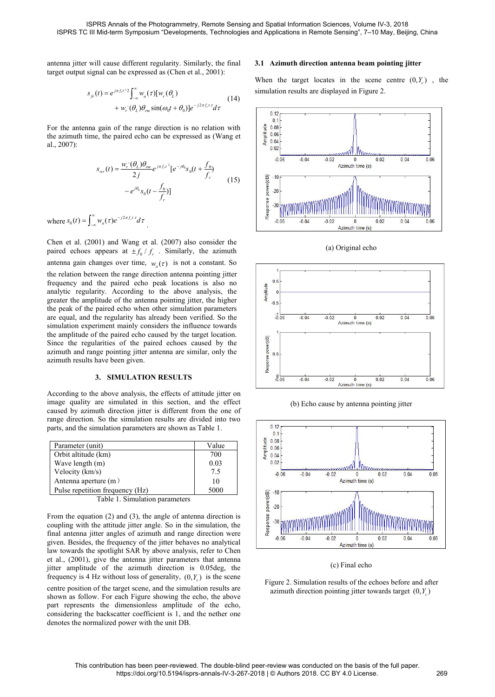\n ISPRS Annals of the Photogrammetry, Remote Sensing and Spatial Information ISPRS TC III Mid-term Symposium "Developments, Technologies and Applications in Rem antenna jitter will cause different regularity. Similarly, the final target output signal can be expressed as (Chen et al., 2001):\n

\n\n When the target loc 
$$
s_f(t) = e^{j\pi f_r t^\gamma} \int_{-\infty}^{\infty} w_a(\tau) [w_r(\theta_L) \quad (14)
$$
\n

\n\n For the antenna gain of the range direction is no relation with\n

\n\n The system of the data is not specified in the image direction.\n

antenna jitter will cause different regularity. Similarly, t<br>
antenna jitter will cause different regularity. Similarly, t<br>
target output signal can be expressed as (Chen et al., 200<br>  $s_{f} (t) = e^{j\pi f_f t \cdot 2} \int_{-\infty}^{\infty} w_a(\$ 

0 0 , 0 0 0 *<sup>r</sup> r L rm j f t <sup>j</sup> wr r j j f f*

 $\int_{0}^{\infty}$   $\int_{0}^{\infty}$   $\int_{0}^{\infty}$   $\int_{0}^{2\pi} f(t) \, dt$   $\int_{0}^{\infty}$ 

antenna jitter will cause different regularity. Similarly, the final<br>
target output signal can be expressed as (Chen et al., 2001):<br>
When the ta<br>  $s_{\mu}(t) = e^{j\pi f_{\mu}r^2} \int_{-\infty}^{\infty} w_a(\tau)[w_r(\theta_L)$ <br>  $+ w_r'(\theta_L)\theta_m \sin(\omega_d t + \theta_0)]e^{-j$ al., 2007):<br>  $s_{wr}(t) = \frac{w_r'(\theta_L)\theta_{rm}}{2j}e^{j\pi f_r t^2}[e^{-j\theta_0}s_0(t + \frac{f_0}{f_r})$ <br>  $-e^{j\theta_0}s_0(t - \frac{f_0}{f_r})]$ <br>
where  $s_0(t) = \int_{-\infty}^{\infty} w_a(\tau)e^{-j2\pi f_r t \cdot \tau}d\tau$ .<br>
Chen et al. (2001) and Wang et al. (2007) also consider the paired ec paired echoes appears at  $\pm f_0/f_r$ . Similarly, the azimuth  $s_{\mu}(t) = e^{j\alpha f_{\mu}t} \sum_{m} w_{\mu}(\tau)[w_{\nu}(\theta_{k})$ <br>
For the antenna gain of the range direction is no relation with<br>
the azimuth time, the paired celobes can be expressed as (Wang et<br>
a., 2007):<br>  $s_{\mu\nu}(t) = \frac{w_{\nu}(\theta_{k})\theta_{m}}{$  $s_{wr}(t) = \frac{w_r'(\theta_t)\theta_{r}}{2j}e^{j\pi f_r t^2}[e^{-j\theta_0}s_0(t + \frac{f_0}{f_r})$ <br>  $-e^{j\theta_0}s_0(t - \frac{f_0}{f_r})]$ <br>
where  $s_0(t) = \int_{-\infty}^{\infty} w_a(\tau)e^{-j2\pi f_r t \tau}d\tau$ .<br>
Chen et al. (2001) and Wang et al. (2007) also consider the<br>
paired echoes appears a where  $s_0(t) = \int_{-\infty}^{\infty} w_a(t)e^{-j2\pi f_s t}dt$ <br>
Where  $s_0(t) = \int_{-\infty}^{\infty} w_a(t)e^{-j2\pi f_s t}dt$ .<br>
Chen et al. (2001) and Wang et al. (2007) also consider the<br>
paired echoses appears at  $\pm f_0/f_r$ . Similarly, the azimuth<br>
antenna gain c  $e^{j\theta_0} s_0(t - \frac{f_0}{f_r})$ <br>
where  $s_0(t) = \int_{-\infty}^{\infty} w_a(\tau) e^{-j2\pi f_s t} d\tau$ .<br>
Chen et al. (2001) and Wang et al. (2007) also consider the<br>
paired echoes appears at  $\pm f_0/f_r$ . Similarly, the azimuth<br>
antenna gain changes over  $e^{i\theta_0} s_0(t - \frac{f_0}{f_r})$ <br>
where  $s_0(t) = \int_{-\infty}^{\infty} w_a(\tau) e^{-j2\pi f_s t} d\tau$ <br>
Chen et al. (2001) and Wang et al. (2007) also consider the<br>
paired echoes appears at  $\pm f_0/f_r$ . Similarly, the azimuth<br>
antenna gain changes over t Using the peak of the paired echo when other simulation parameters<br>
Since the paired echoses appears at  $\pm f_0 / f_r$ . Similarly, the azimuth<br>
antenna gain changes over time,  $w_a(\tau)$  is not a constant. So<br>
the relation betwe where  $s_0(t) = \int_{-\infty}^{\infty} w_a(\tau) e^{-j2\pi f_s/\tau} d\tau$ <br>
Chen et al. (2001) and Wang et al. (2007) also consider the<br>
paired echoes appears at  $\pm f_0/f$ . Similarly, the azimuth<br>
antenna gain changes over time,  $w_a(\tau)$  is not a const where  $s_0(t) = \int_{-\infty}^{\infty} w_a(\tau) e^{-j2\pi f_s t \tau} d\tau$ .<br>
Chen et al. (2001) and Wang et al. (2007) also consider the<br>
paired echoes appears at  $\pm f_0/f_r$ . Similarly, the azimuth<br>
antenna gain changes over time,  $w_a(\tau)$  is not a co Chen et al. (2001) and Wang et al. (2007) also consider the<br>paired echoes appears at  $\pm f_0 / f_r$ . Similarly, the azimuth<br>antenna gain changes over time,  $w_a(\tau)$  is not a constant. So<br>the relation between the range directio Chen et al. (2001) and Wang et al. (2007) also consider the<br>paired echoes appears at  $\pm f_0/f_r$ . Similarly, the azimuth<br>antenna gain changes over time,  $w_a(\tau)$  is not a constant. So<br>the relation between the range direction Chen et al. (2001) and Wang et al. (2007) also consider the<br>paired echoes appears at  $\pm f_0 / f_r$ . Similarly, the azimuth<br>antenna gain changes over time,  $w_a(\tau)$  is not a constant. So<br>the relation between the range directio paired echoes appears at  $\pm f_0 / f_r$ . Similarly, the azimuth<br>antenna gain changes over time,  $w_a(\tau)$  is not a constant. So<br>the relation between the range direction antenna pointing jitter<br>frequency and the paired echo peak Example 11 and the pair of the pair of the pair of the pair of the pair of the above analysis, the pair of the antenna pointing jitter, the higher pair of the antenna pointing jitter, the higher pair of the antenna pointin Exercise and the paired ceho peak locations is also no<br>
analytic regularity. According to the above analysis, the higher<br>
greater the amplitude of the paired echo when other simulation parameters<br>
are equal, and the regul analytic regularity. According to the above analysis, the<br>
greater the amplitude of the antenna pointing jitter, the higher<br>
the peak of the paired echo when other simulation parameters<br>
are equal, and the regularity has greater the amplitude of the antenna pointing jitter, the higher<br>
are equal, and the paired echo when other simulation parameters<br>
simulation experiment mainly considers the influence towards<br>
the amplitude of the paired the peak of the paired echo when other simulation parameters<br>
simulation experiment mainly considers the influence towards<br>
the amplitude of the paired echo caused by the target location.<br>
Since the regularities of the pa are equal, and the regularity has already been verified. So the<br>
simulation experiment mainly considers the infillunce towards<br>
the amplitude of the paired echo caused by the target location.<br>
Since the regularities of th

| the amplitude of the paired echo caused by the target location.<br>Since the regularities of the paired echoes caused by the<br>azimuth and range pointing jitter antenna are similar, only the<br>azimuth results have been given.<br>3. SIMULATION RESULTS           |                             | Response power(dB)<br>0.5<br>$-0.06$ |
|------------------------------------------------------------------------------------------------------------------------------------------------------------------------------------------------------------------------------------------------------------------------|-----------------------------|--------------------------------------|
| According to the above analysis, the effects of attitude jitter on<br>mage quality are simulated in this section, and the effect<br>caused by azimuth direction jitter is different from the one of<br>range direction. So the simulation results are divided into two |                             |                                      |
| parts, and the simulation parameters are shown as Table 1.                                                                                                                                                                                                             |                             | 0.12                                 |
|                                                                                                                                                                                                                                                                        |                             | 0 <sub>1</sub><br>Amplitude<br>0.08  |
| Parameter (unit)                                                                                                                                                                                                                                                       | Value                       | 0.06                                 |
| Orbit altitude (km)                                                                                                                                                                                                                                                    | 700                         | 0.04                                 |
| Wave length (m)                                                                                                                                                                                                                                                        | 0.03                        | 0.02                                 |
| Velocity (km/s)                                                                                                                                                                                                                                                        | 7.5                         | $-0.06$                              |
| Antenna aperture $(m)$                                                                                                                                                                                                                                                 | 10                          |                                      |
| Pulse repetition frequency (Hz)                                                                                                                                                                                                                                        | 5000                        | $-10$                                |
| Table 1. Simulation parameters                                                                                                                                                                                                                                         |                             |                                      |
|                                                                                                                                                                                                                                                                        |                             | $-20$                                |
| From the equation $(2)$ and $(3)$ , the angle of antenna direction is<br>coupling with the attitude jitter angle. So in the simulation, the<br>final antenna jitter angles of azimuth and range direction were                                                         | Response power(dB)<br>$-30$ |                                      |

Frameter (unit)<br>
The fit altitude (km)<br>
Wave length (m)<br>
Wave length (m)<br>
Wave length (m)<br>
Wave length (m)<br>
Wave length (m)<br>
Antenna aperture (m)<br>
Antenna aperture (m)<br>
Table 1. Simulation parameters<br>
From the equation (2 **Parameter (unit)** Value<br>
Orbit altitude (km)<br>
Wave length (m)<br>
Wave length (m)<br>
Welocity (km/s)<br>
Velocity (km/s)<br>
Antenna aperture (m)<br>
Pulse repetition frequency (Hz)<br>
Table 1. Simulation parameters<br>
From the equation ( From the equation (2) and (3), the angle of antenna direction is<br>
The antenna aperture (m)<br>
Pulse repetition frequency (Hz)<br>
Table 1. Simulation parameters<br>
From the equation (2) and (3), the angle of antenna direction is From the equal (m)<br>
Wave length (m)<br>  $Pulse repetition frequency (Hz)$ <br>
Table 1. Simulation parameters<br>
From the equation (2) and (3), the angle of antenna direction is<br>
final antenna jitter amgles of azimuth and range direction were<br>
given. Bes Frequency of the interior is 4 Hz without direction is 0.03<br>
Engage quality are simulated in this section, and the effect<br>
range direction. So the simulation parameters are shown as Table 1.<br>
Transpaction (m)<br>
The paramete Antenna aperture (m)<br>
Pulse repetition frequency (Hz)<br>
Table 1. Simulation parameters<br>
From the equation (2) and (3), the angle of antenna direction is<br>
coupling with the attitude jitter angle. So in the simulation, the<br> **Pulse repetition frequency (Hz)** 5000<br>
Table 1. Simulation parameters<br>
From the equation (2) and (3), the angle of antenna direction is<br>
coupling with the attitude jitter angle. So in the simulation, the<br>
final antenna j Table 1. Simulation parameters<br>
From the equation (2) and (3), the angle of antenna direction is<br>
coupling with the attitude jitter angle. So in the simulation, the<br>
final antenna jitter amples of azimuth and range direct From the equation (2) and (3), the angle of antenna direction is<br>coupling with the attitude jitter angle. So in the simulation, the<br>final antenna ititer angles of azimuth and range direction were<br>given. Besides, the frequ From the equation (2) and (3), the angle of antenna direction is<br>coupling with the attitude jitter angle. So in the simulation, the<br>final antenna jitter angles of azimuth and range direction were<br>given. Besides, the frequ

**3.1 Azimuth direction Sciences, Volume IV-3, 2018**<br>**3.1 Azimuth direction antenna beam pointing jitter**<br>**3.1 Azimuth direction antenna beam pointing jitter**<br>**When the target locates in the scene centre**  $(0, Y_c)$ , the simu







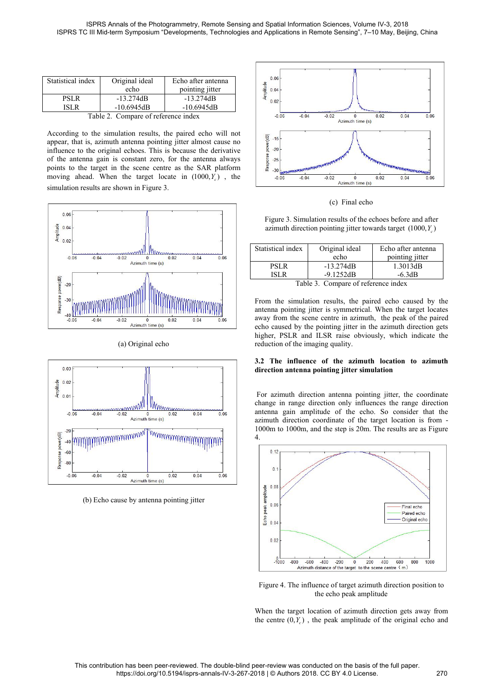|                            |                                     |                                                                                                                                                                                                       | ISPRS Annals of the Photogrammetry, Remote Sensing and Spatial Informat<br>ISPRS TC III Mid-term Symposium "Developments, Technologies and Applications in F |
|----------------------------|-------------------------------------|-------------------------------------------------------------------------------------------------------------------------------------------------------------------------------------------------------|--------------------------------------------------------------------------------------------------------------------------------------------------------------|
| Statistical index          | Original ideal<br>echo              | Echo after antenna<br>pointing jitter                                                                                                                                                                 | 0.06<br>0.04                                                                                                                                                 |
| <b>PSLR</b><br><b>ISLR</b> | $-13.274dB$<br>$-10.6945dB$         | $-13.274dB$<br>$-10.6945dB$                                                                                                                                                                           | Amplitude<br>0.02                                                                                                                                            |
|                            | Table 2. Compare of reference index |                                                                                                                                                                                                       | $-0.06$<br>$-0.04$                                                                                                                                           |
|                            |                                     | According to the simulation results, the paired echo will not<br>appear, that is, azimuth antenna pointing jitter almost cause no<br>influence to the original echoes. This is because the derivative | power(dB)<br>$-15$<br>$-20$                                                                                                                                  |

Statistical index Original ideal Echo after antenna<br>
echo confirme inter and pointing jitter<br>
PSLR -13.274dB -13.274dB<br>
ISLR -10.6945dB -10.6945dB<br>
Table 2. Compare of reference index<br>
According to the simulation results, Statistical index Original ideal Echo after antenna<br>
echo pointing jitter<br>
PSLR -13.274dB -10.6945dB -10.6945dB<br>
Table 2. Compare of reference index<br>
According to the simulation results, the paired echo will not<br>
appear,







| CO MARINARDIANO                                                                                                                                                                                                                                                                                                                 |                    |                                     |      |                    | <b><i><u>PARTING MARINE</u></i></b> |
|---------------------------------------------------------------------------------------------------------------------------------------------------------------------------------------------------------------------------------------------------------------------------------------------------------------------------------|--------------------|-------------------------------------|------|--------------------|-------------------------------------|
| $-0.06$                                                                                                                                                                                                                                                                                                                         | $-0.04$<br>$-0.02$ | $\Omega$                            | 0.02 | 0.04               | 0.06                                |
|                                                                                                                                                                                                                                                                                                                                 |                    | Azimuth time (s)                    |      |                    |                                     |
|                                                                                                                                                                                                                                                                                                                                 |                    | (c) Final echo                      |      |                    |                                     |
| Figure 3. Simulation results of the echoes before and after<br>azimuth direction pointing jitter towards target $(1000, Y_c)$                                                                                                                                                                                                   |                    |                                     |      |                    |                                     |
| Statistical index                                                                                                                                                                                                                                                                                                               |                    | Original ideal                      |      | Echo after antenna |                                     |
|                                                                                                                                                                                                                                                                                                                                 |                    | echo                                |      | pointing jitter    |                                     |
| <b>PSLR</b>                                                                                                                                                                                                                                                                                                                     |                    | $-13.274dB$                         |      | 1.3013dB           |                                     |
| <b>ISLR</b>                                                                                                                                                                                                                                                                                                                     |                    | $-9.1252dB$                         |      | $-6.3dB$           |                                     |
|                                                                                                                                                                                                                                                                                                                                 |                    | Table 3. Compare of reference index |      |                    |                                     |
| From the simulation results, the paired echo caused by the<br>antenna pointing jitter is symmetrical. When the target locates<br>away from the scene centre in azimuth, the peak of the paired<br>echo caused by the pointing jitter in the azimuth direction gets<br>higher. PSLR and ILSR raise obviously, which indicate the |                    |                                     |      |                    |                                     |

(c) Final echo<br>
Figure 3. Simulation results of the echoes before and after<br>
azimuth direction pointing jitter towards target  $(1000, Y_c)$ <br>
Statistical index<br>
Original ideal<br>
Fecho after antenna<br>
PSLR<br>
PSLR<br>
1.3.274dB<br>
ISL away from the scene centre in azimuth, the peak of the paired Figure 3. Simulation results of the echoes before and after<br>azimuth direction pointing jitter towards target  $(1000, Y_c)$ <br>Statistical index Original ideal Echo after antenna<br>echo pointing jitter<br>PSLR -13.274dB 1.3013dB<br>ISL azimuth direction pointing jitter towards target  $(1000, Y_c)$ <br>
Statistical index Original ideal Echo after antenna<br>
echo pointing jitter<br>
PSLR -13.274dB 1.3013dB<br>
ISLR -9.1252dB -6.3dB<br>
Table 3. Compare of reference index<br> Statistical index Original ideal Echo after antenna<br>
echo pointing jitter<br>
PSLR -13.274dB 1.3013dB<br>
ISLR -9.1252dB -6.3dB<br>
Table 3. Compare of reference index<br>
From the simulation results, the paired echo caused by the<br>
an **3.2 The influence of the azimuth location antenna pointing iter-**<br> **3.274dB** 1.3013dB<br> **3.2 The influence of the paired echo caused by the**<br> **3.2 The influence of the azimuth**, the peak of the paired<br> **3.2 The influence o FIRE 13.274dB** 13.303dB<br>
ISLR -9.1252dB 1.30313dB<br>
ISLR -9.1252dB -6.3dB<br>
Table 3. Compare of reference index<br>
From the simulation results, the paired echo caused by the<br>
antenna pointing jitter is symmetrical. When the t Table 3. Compare of reference index<br>
From the simulation results, the paired echo caused by the<br>
intenna pointing jitter is symmetrical. When the target locates<br>
away from the scene centre in azimuth, the peak of the pair From the simulation results, the paired echo caused by the<br>antenna pointing jitter is symmetrical. When the target locates<br>away from the scene centre in azimuth, the peak of the paired<br>echo caused by the pointing jitter i From the simulation results, the paired echo caused by the antenna pointing jitter is symmetrical. When the target locates away from the scene center in azimuth, the peak of the paired echo caused by the pointing jitter in

antenna pointing jitter is symmetrical. When the target locates<br>away from the scene centre in azimuth, the peak of the paired<br>echo caused by the pointing jitter in the azimuth direction gets<br>higher, PSLR and ILSR raise obv away from the scene centre in azimuth, the peak of the paired<br>
echo caused by the pointing jitter in the azimuth direction gets<br>
higher, PSLR and ILSR raise obviously, which indicate the<br>
reduction of the imaging quality. 4.